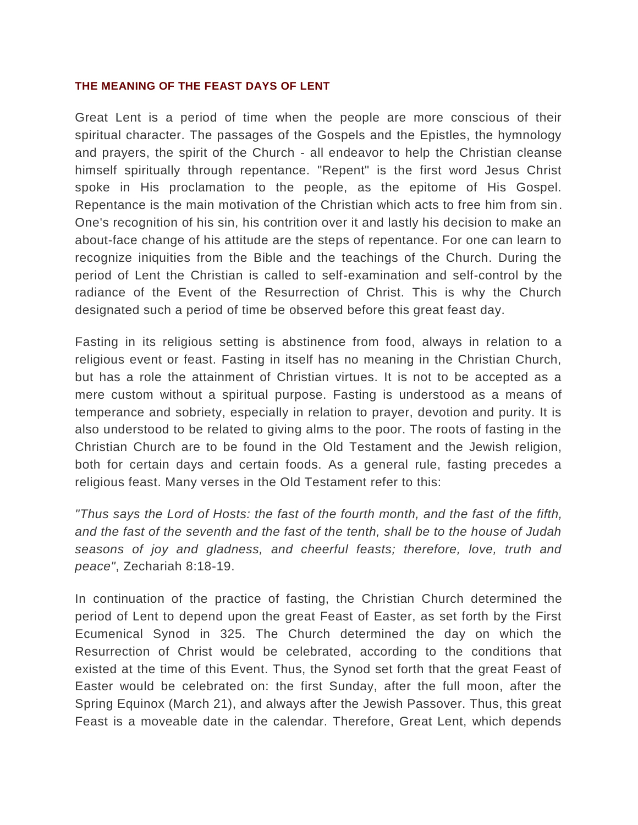#### **THE MEANING OF THE FEAST DAYS OF LENT**

Great Lent is a period of time when the people are more conscious of their spiritual character. The passages of the Gospels and the Epistles, the hymnology and prayers, the spirit of the Church - all endeavor to help the Christian cleanse himself spiritually through repentance. "Repent" is the first word Jesus Christ spoke in His proclamation to the people, as the epitome of His Gospel. Repentance is the main motivation of the Christian which acts to free him from sin. One's recognition of his sin, his contrition over it and lastly his decision to make an about-face change of his attitude are the steps of repentance. For one can learn to recognize iniquities from the Bible and the teachings of the Church. During the period of Lent the Christian is called to self-examination and self-control by the radiance of the Event of the Resurrection of Christ. This is why the Church designated such a period of time be observed before this great feast day.

Fasting in its religious setting is abstinence from food, always in relation to a religious event or feast. Fasting in itself has no meaning in the Christian Church, but has a role the attainment of Christian virtues. It is not to be accepted as a mere custom without a spiritual purpose. Fasting is understood as a means of temperance and sobriety, especially in relation to prayer, devotion and purity. It is also understood to be related to giving alms to the poor. The roots of fasting in the Christian Church are to be found in the Old Testament and the Jewish religion, both for certain days and certain foods. As a general rule, fasting precedes a religious feast. Many verses in the Old Testament refer to this:

*"Thus says the Lord of Hosts: the fast of the fourth month, and the fast of the fifth, and the fast of the seventh and the fast of the tenth, shall be to the house of Judah seasons of joy and gladness, and cheerful feasts; therefore, love, truth and peace"*, Zechariah 8:18-19.

In continuation of the practice of fasting, the Christian Church determined the period of Lent to depend upon the great Feast of Easter, as set forth by the First Ecumenical Synod in 325. The Church determined the day on which the Resurrection of Christ would be celebrated, according to the conditions that existed at the time of this Event. Thus, the Synod set forth that the great Feast of Easter would be celebrated on: the first Sunday, after the full moon, after the Spring Equinox (March 21), and always after the Jewish Passover. Thus, this great Feast is a moveable date in the calendar. Therefore, Great Lent, which depends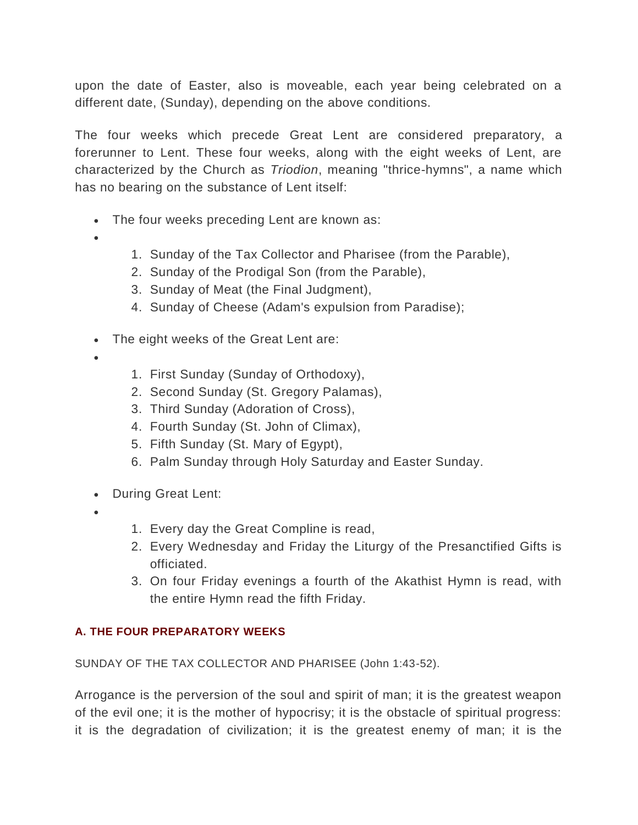upon the date of Easter, also is moveable, each year being celebrated on a different date, (Sunday), depending on the above conditions.

The four weeks which precede Great Lent are considered preparatory, a forerunner to Lent. These four weeks, along with the eight weeks of Lent, are characterized by the Church as *Triodion*, meaning "thrice-hymns", a name which has no bearing on the substance of Lent itself:

- The four weeks preceding Lent are known as:
- $\bullet$
- 1. Sunday of the Tax Collector and Pharisee (from the Parable),
- 2. Sunday of the Prodigal Son (from the Parable),
- 3. Sunday of Meat (the Final Judgment),
- 4. Sunday of Cheese (Adam's expulsion from Paradise);
- The eight weeks of the Great Lent are:
- $\bullet$
- 1. First Sunday (Sunday of Orthodoxy),
- 2. Second Sunday (St. Gregory Palamas),
- 3. Third Sunday (Adoration of Cross),
- 4. Fourth Sunday (St. John of Climax),
- 5. Fifth Sunday (St. Mary of Egypt),
- 6. Palm Sunday through Holy Saturday and Easter Sunday.
- During Great Lent:
- $\bullet$
- 1. Every day the Great Compline is read,
- 2. Every Wednesday and Friday the Liturgy of the Presanctified Gifts is officiated.
- 3. On four Friday evenings a fourth of the Akathist Hymn is read, with the entire Hymn read the fifth Friday.

# **A. THE FOUR PREPARATORY WEEKS**

SUNDAY OF THE TAX COLLECTOR AND PHARISEE (John 1:43-52).

Arrogance is the perversion of the soul and spirit of man; it is the greatest weapon of the evil one; it is the mother of hypocrisy; it is the obstacle of spiritual progress: it is the degradation of civilization; it is the greatest enemy of man; it is the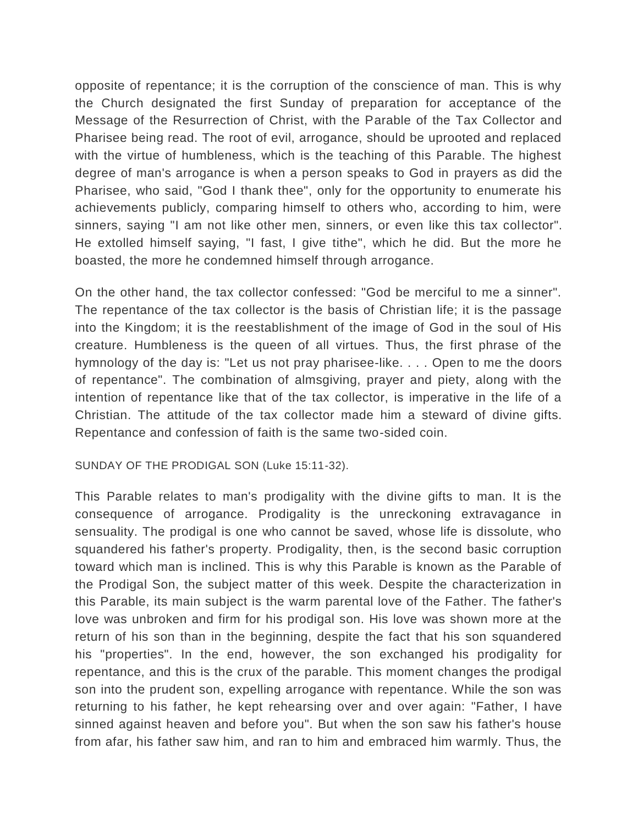opposite of repentance; it is the corruption of the conscience of man. This is why the Church designated the first Sunday of preparation for acceptance of the Message of the Resurrection of Christ, with the Parable of the Tax Collector and Pharisee being read. The root of evil, arrogance, should be uprooted and replaced with the virtue of humbleness, which is the teaching of this Parable. The highest degree of man's arrogance is when a person speaks to God in prayers as did the Pharisee, who said, "God I thank thee", only for the opportunity to enumerate his achievements publicly, comparing himself to others who, according to him, were sinners, saying "I am not like other men, sinners, or even like this tax collector". He extolled himself saying, "I fast, I give tithe", which he did. But the more he boasted, the more he condemned himself through arrogance.

On the other hand, the tax collector confessed: "God be merciful to me a sinner". The repentance of the tax collector is the basis of Christian life; it is the passage into the Kingdom; it is the reestablishment of the image of God in the soul of His creature. Humbleness is the queen of all virtues. Thus, the first phrase of the hymnology of the day is: "Let us not pray pharisee-like. . . . Open to me the doors of repentance". The combination of almsgiving, prayer and piety, along with the intention of repentance like that of the tax collector, is imperative in the life of a Christian. The attitude of the tax collector made him a steward of divine gifts. Repentance and confession of faith is the same two-sided coin.

SUNDAY OF THE PRODIGAL SON (Luke 15:11-32).

This Parable relates to man's prodigality with the divine gifts to man. It is the consequence of arrogance. Prodigality is the unreckoning extravagance in sensuality. The prodigal is one who cannot be saved, whose life is dissolute, who squandered his father's property. Prodigality, then, is the second basic corruption toward which man is inclined. This is why this Parable is known as the Parable of the Prodigal Son, the subject matter of this week. Despite the characterization in this Parable, its main subject is the warm parental love of the Father. The father's love was unbroken and firm for his prodigal son. His love was shown more at the return of his son than in the beginning, despite the fact that his son squandered his "properties". In the end, however, the son exchanged his prodigality for repentance, and this is the crux of the parable. This moment changes the prodigal son into the prudent son, expelling arrogance with repentance. While the son was returning to his father, he kept rehearsing over and over again: "Father, I have sinned against heaven and before you". But when the son saw his father's house from afar, his father saw him, and ran to him and embraced him warmly. Thus, the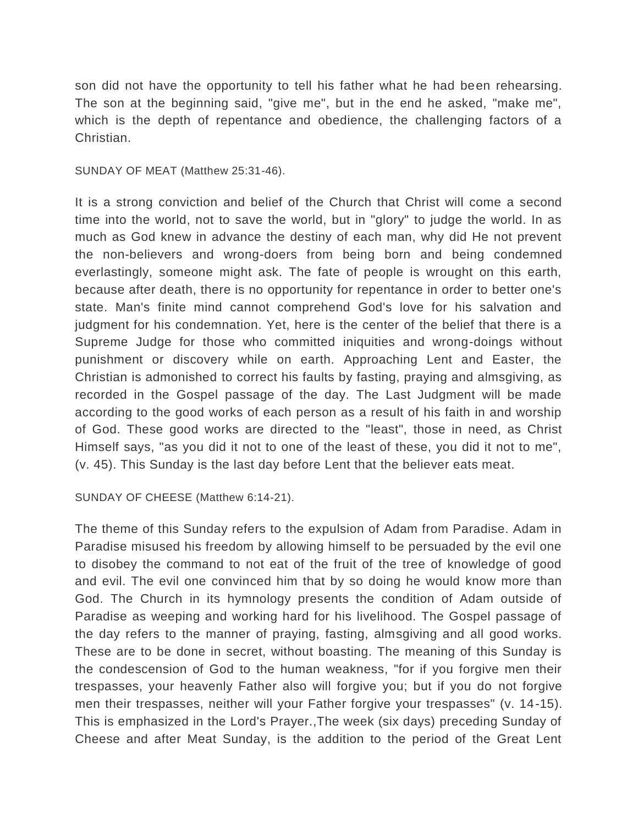son did not have the opportunity to tell his father what he had been rehearsing. The son at the beginning said, "give me", but in the end he asked, "make me", which is the depth of repentance and obedience, the challenging factors of a Christian.

SUNDAY OF MEAT (Matthew 25:31-46).

It is a strong conviction and belief of the Church that Christ will come a second time into the world, not to save the world, but in "glory" to judge the world. In as much as God knew in advance the destiny of each man, why did He not prevent the non-believers and wrong-doers from being born and being condemned everlastingly, someone might ask. The fate of people is wrought on this earth, because after death, there is no opportunity for repentance in order to better one's state. Man's finite mind cannot comprehend God's love for his salvation and judgment for his condemnation. Yet, here is the center of the belief that there is a Supreme Judge for those who committed iniquities and wrong-doings without punishment or discovery while on earth. Approaching Lent and Easter, the Christian is admonished to correct his faults by fasting, praying and almsgiving, as recorded in the Gospel passage of the day. The Last Judgment will be made according to the good works of each person as a result of his faith in and worship of God. These good works are directed to the "least", those in need, as Christ Himself says, "as you did it not to one of the least of these, you did it not to me", (v. 45). This Sunday is the last day before Lent that the believer eats meat.

SUNDAY OF CHEESE (Matthew 6:14-21).

The theme of this Sunday refers to the expulsion of Adam from Paradise. Adam in Paradise misused his freedom by allowing himself to be persuaded by the evil one to disobey the command to not eat of the fruit of the tree of knowledge of good and evil. The evil one convinced him that by so doing he would know more than God. The Church in its hymnology presents the condition of Adam outside of Paradise as weeping and working hard for his livelihood. The Gospel passage of the day refers to the manner of praying, fasting, almsgiving and all good works. These are to be done in secret, without boasting. The meaning of this Sunday is the condescension of God to the human weakness, "for if you forgive men their trespasses, your heavenly Father also will forgive you; but if you do not forgive men their trespasses, neither will your Father forgive your trespasses" (v. 14-15). This is emphasized in the Lord's Prayer.,The week (six days) preceding Sunday of Cheese and after Meat Sunday, is the addition to the period of the Great Lent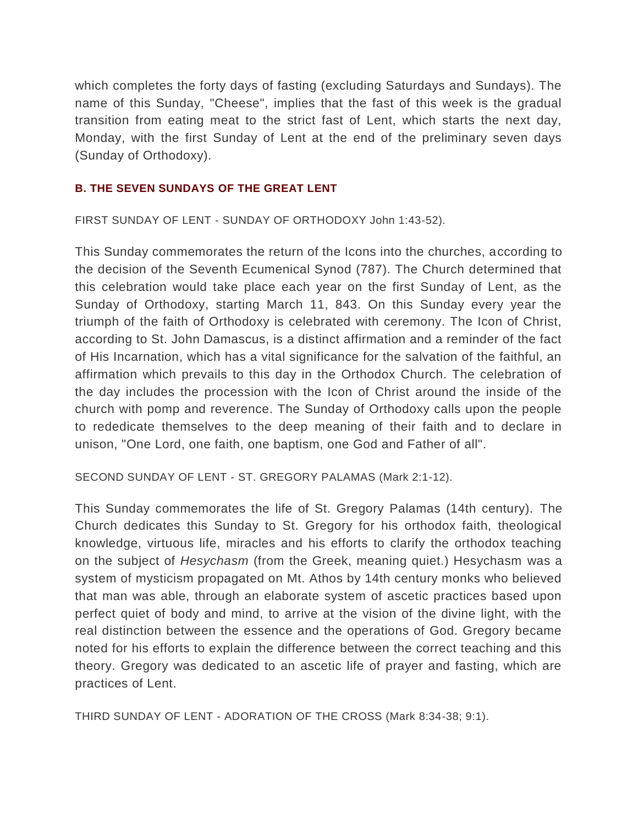which completes the forty days of fasting (excluding Saturdays and Sundays). The name of this Sunday, "Cheese", implies that the fast of this week is the gradual transition from eating meat to the strict fast of Lent, which starts the next day, Monday, with the first Sunday of Lent at the end of the preliminary seven days (Sunday of Orthodoxy).

#### **B. THE SEVEN SUNDAYS OF THE GREAT LENT**

FIRST SUNDAY OF LENT - SUNDAY OF ORTHODOXY John 1:43-52).

This Sunday commemorates the return of the Icons into the churches, according to the decision of the Seventh Ecumenical Synod (787). The Church determined that this celebration would take place each year on the first Sunday of Lent, as the Sunday of Orthodoxy, starting March 11, 843. On this Sunday every year the triumph of the faith of Orthodoxy is celebrated with ceremony. The Icon of Christ, according to St. John Damascus, is a distinct affirmation and a reminder of the fact of His Incarnation, which has a vital significance for the salvation of the faithful, an affirmation which prevails to this day in the Orthodox Church. The celebration of the day includes the procession with the Icon of Christ around the inside of the church with pomp and reverence. The Sunday of Orthodoxy calls upon the people to rededicate themselves to the deep meaning of their faith and to declare in unison, "One Lord, one faith, one baptism, one God and Father of all".

SECOND SUNDAY OF LENT - ST. GREGORY PALAMAS (Mark 2:1-12).

This Sunday commemorates the life of St. Gregory Palamas (14th century). The Church dedicates this Sunday to St. Gregory for his orthodox faith, theological knowledge, virtuous life, miracles and his efforts to clarify the orthodox teaching on the subject of *Hesychasm* (from the Greek, meaning quiet.) Hesychasm was a system of mysticism propagated on Mt. Athos by 14th century monks who believed that man was able, through an elaborate system of ascetic practices based upon perfect quiet of body and mind, to arrive at the vision of the divine light, with the real distinction between the essence and the operations of God. Gregory became noted for his efforts to explain the difference between the correct teaching and this theory. Gregory was dedicated to an ascetic life of prayer and fasting, which are practices of Lent.

THIRD SUNDAY OF LENT - ADORATION OF THE CROSS (Mark 8:34-38; 9:1).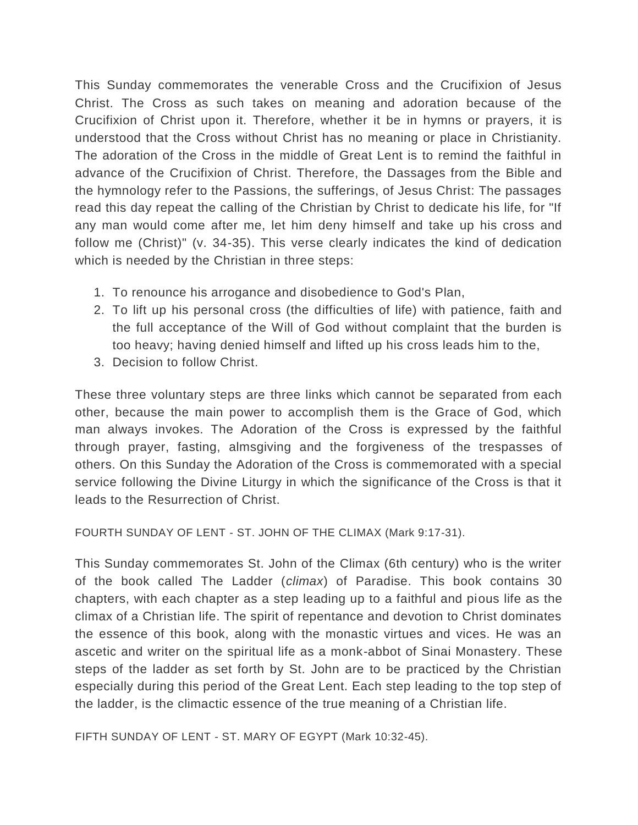This Sunday commemorates the venerable Cross and the Crucifixion of Jesus Christ. The Cross as such takes on meaning and adoration because of the Crucifixion of Christ upon it. Therefore, whether it be in hymns or prayers, it is understood that the Cross without Christ has no meaning or place in Christianity. The adoration of the Cross in the middle of Great Lent is to remind the faithful in advance of the Crucifixion of Christ. Therefore, the Dassages from the Bible and the hymnology refer to the Passions, the sufferings, of Jesus Christ: The passages read this day repeat the calling of the Christian by Christ to dedicate his life, for "If any man would come after me, let him deny himself and take up his cross and follow me (Christ)" (v. 34-35). This verse clearly indicates the kind of dedication which is needed by the Christian in three steps:

- 1. To renounce his arrogance and disobedience to God's Plan,
- 2. To lift up his personal cross (the difficulties of life) with patience, faith and the full acceptance of the Will of God without complaint that the burden is too heavy; having denied himself and lifted up his cross leads him to the,
- 3. Decision to follow Christ.

These three voluntary steps are three links which cannot be separated from each other, because the main power to accomplish them is the Grace of God, which man always invokes. The Adoration of the Cross is expressed by the faithful through prayer, fasting, almsgiving and the forgiveness of the trespasses of others. On this Sunday the Adoration of the Cross is commemorated with a special service following the Divine Liturgy in which the significance of the Cross is that it leads to the Resurrection of Christ.

FOURTH SUNDAY OF LENT - ST. JOHN OF THE CLIMAX (Mark 9:17-31).

This Sunday commemorates St. John of the Climax (6th century) who is the writer of the book called The Ladder (*climax*) of Paradise. This book contains 30 chapters, with each chapter as a step leading up to a faithful and pious life as the climax of a Christian life. The spirit of repentance and devotion to Christ dominates the essence of this book, along with the monastic virtues and vices. He was an ascetic and writer on the spiritual life as a monk-abbot of Sinai Monastery. These steps of the ladder as set forth by St. John are to be practiced by the Christian especially during this period of the Great Lent. Each step leading to the top step of the ladder, is the climactic essence of the true meaning of a Christian life.

FIFTH SUNDAY OF LENT - ST. MARY OF EGYPT (Mark 10:32-45).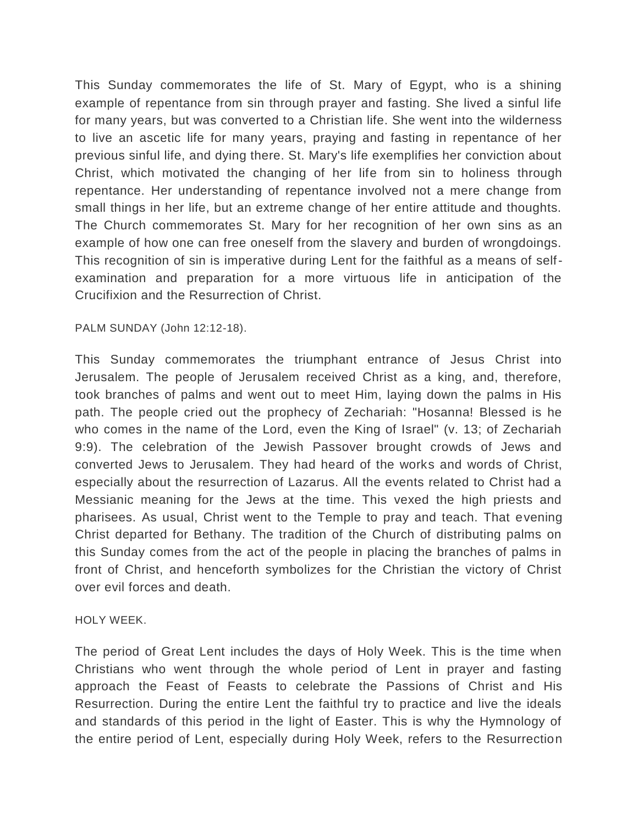This Sunday commemorates the life of St. Mary of Egypt, who is a shining example of repentance from sin through prayer and fasting. She lived a sinful life for many years, but was converted to a Christian life. She went into the wilderness to live an ascetic life for many years, praying and fasting in repentance of her previous sinful life, and dying there. St. Mary's life exemplifies her conviction about Christ, which motivated the changing of her life from sin to holiness through repentance. Her understanding of repentance involved not a mere change from small things in her life, but an extreme change of her entire attitude and thoughts. The Church commemorates St. Mary for her recognition of her own sins as an example of how one can free oneself from the slavery and burden of wrongdoings. This recognition of sin is imperative during Lent for the faithful as a means of selfexamination and preparation for a more virtuous life in anticipation of the Crucifixion and the Resurrection of Christ.

# PALM SUNDAY (John 12:12-18).

This Sunday commemorates the triumphant entrance of Jesus Christ into Jerusalem. The people of Jerusalem received Christ as a king, and, therefore, took branches of palms and went out to meet Him, laying down the palms in His path. The people cried out the prophecy of Zechariah: "Hosanna! Blessed is he who comes in the name of the Lord, even the King of Israel" (v. 13; of Zechariah 9:9). The celebration of the Jewish Passover brought crowds of Jews and converted Jews to Jerusalem. They had heard of the works and words of Christ, especially about the resurrection of Lazarus. All the events related to Christ had a Messianic meaning for the Jews at the time. This vexed the high priests and pharisees. As usual, Christ went to the Temple to pray and teach. That evening Christ departed for Bethany. The tradition of the Church of distributing palms on this Sunday comes from the act of the people in placing the branches of palms in front of Christ, and henceforth symbolizes for the Christian the victory of Christ over evil forces and death.

# HOLY WEEK.

The period of Great Lent includes the days of Holy Week. This is the time when Christians who went through the whole period of Lent in prayer and fasting approach the Feast of Feasts to celebrate the Passions of Christ and His Resurrection. During the entire Lent the faithful try to practice and live the ideals and standards of this period in the light of Easter. This is why the Hymnology of the entire period of Lent, especially during Holy Week, refers to the Resurrection